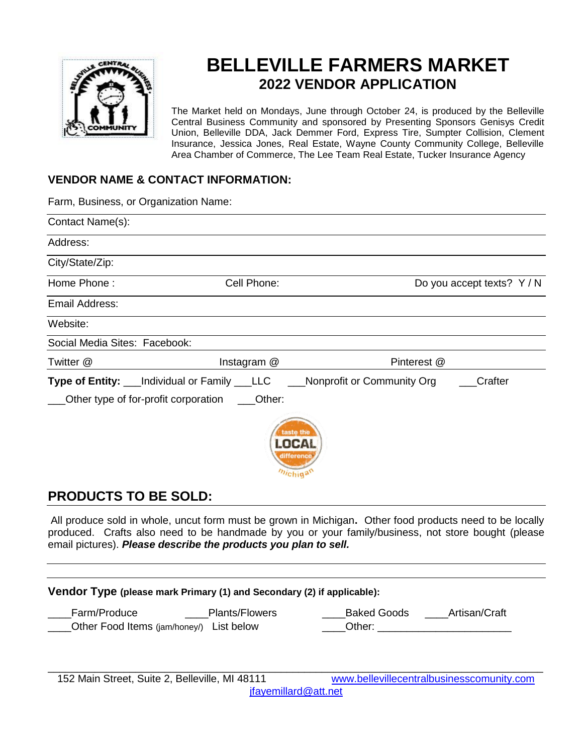

# **BELLEVILLE FARMERS MARKET 2022 VENDOR APPLICATION**

The Market held on Mondays, June through October 24, is produced by the Belleville Central Business Community and sponsored by Presenting Sponsors Genisys Credit Union, Belleville DDA, Jack Demmer Ford, Express Tire, Sumpter Collision, Clement Insurance, Jessica Jones, Real Estate, Wayne County Community College, Belleville Area Chamber of Commerce, The Lee Team Real Estate, Tucker Insurance Agency

#### **VENDOR NAME & CONTACT INFORMATION:**

Farm, Business, or Organization Name:

| Contact Name(s):                     |                                                          |                            |                            |
|--------------------------------------|----------------------------------------------------------|----------------------------|----------------------------|
| Address:                             |                                                          |                            |                            |
| City/State/Zip:                      |                                                          |                            |                            |
| Home Phone:                          | Cell Phone:                                              |                            | Do you accept texts? Y / N |
| Email Address:                       |                                                          |                            |                            |
| Website:                             |                                                          |                            |                            |
| Social Media Sites: Facebook:        |                                                          |                            |                            |
| Twitter @                            | Instagram @                                              | Pinterest @                |                            |
| Other type of for-profit corporation | Type of Entity: ___Individual or Family ___LLC<br>Other: | Nonprofit or Community Org | Crafter                    |
|                                      | taste the<br><b>LOCAL</b><br>difference<br>michigan      |                            |                            |

### **PRODUCTS TO BE SOLD:**

All produce sold in whole, uncut form must be grown in Michigan**.** Other food products need to be locally produced. Crafts also need to be handmade by you or your family/business, not store bought (please email pictures). *Please describe the products you plan to sell.*

| Vendor Type (please mark Primary (1) and Secondary (2) if applicable):            |                                               |  |  |
|-----------------------------------------------------------------------------------|-----------------------------------------------|--|--|
| Farm/Produce<br><b>Plants/Flowers</b><br>Other Food Items (jam/honey/) List below | <b>Baked Goods</b><br>Artisan/Craft<br>Other: |  |  |
| 152 Main Street, Suite 2, Belleville, MI 48111                                    | www.bellevillecentralbusinesscomunity.com     |  |  |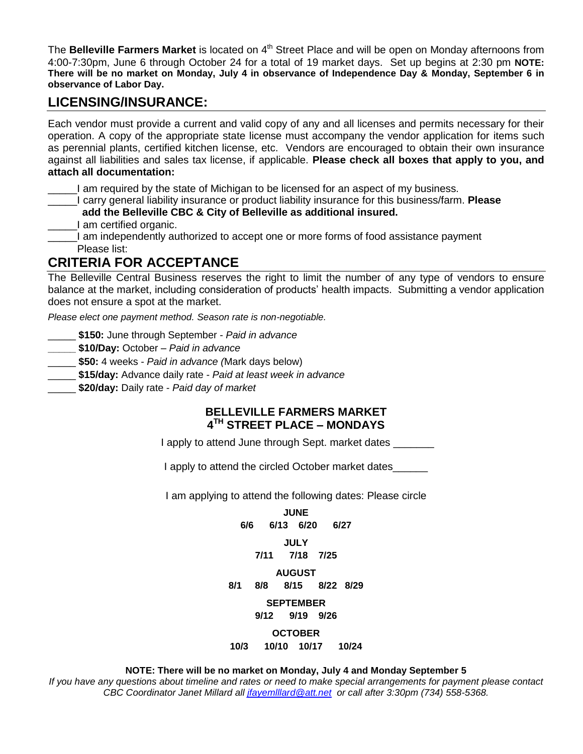The **Belleville Farmers Market** is located on 4<sup>th</sup> Street Place and will be open on Monday afternoons from 4:00-7:30pm, June 6 through October 24 for a total of 19 market days. Set up begins at 2:30 pm **NOTE: There will be no market on Monday, July 4 in observance of Independence Day & Monday, September 6 in observance of Labor Day.**

## **LICENSING/INSURANCE:**

Each vendor must provide a current and valid copy of any and all licenses and permits necessary for their operation. A copy of the appropriate state license must accompany the vendor application for items such as perennial plants, certified kitchen license, etc. Vendors are encouraged to obtain their own insurance against all liabilities and sales tax license, if applicable. **Please check all boxes that apply to you, and attach all documentation:**

\_\_\_\_\_I am required by the state of Michigan to be licensed for an aspect of my business.

\_\_\_\_\_I carry general liability insurance or product liability insurance for this business/farm. **Please**

**add the Belleville CBC & City of Belleville as additional insured.** 

**Example 21 am certified organic.** 

\_\_\_\_\_I am independently authorized to accept one or more forms of food assistance payment Please list:

# **CRITERIA FOR ACCEPTANCE**

The Belleville Central Business reserves the right to limit the number of any type of vendors to ensure balance at the market, including consideration of products' health impacts. Submitting a vendor application does not ensure a spot at the market.

*Please elect one payment method. Season rate is non-negotiable.* 

\_\_\_\_\_ **\$150:** June through September - *Paid in advance*

**\_\_\_\_\_ \$10/Day:** October – *Paid in advance*

- \_\_\_\_\_ **\$50:** 4 weeks *Paid in advance (*Mark days below)
- \_\_\_\_\_ **\$15/day:** Advance daily rate *Paid at least week in advance*

\_\_\_\_\_ **\$20/day:** Daily rate - *Paid day of market*

#### **BELLEVILLE FARMERS MARKET 4 TH STREET PLACE – MONDAYS**

I apply to attend June through Sept. market dates

I apply to attend the circled October market dates

I am applying to attend the following dates: Please circle

**JUNE 6/6 6/13 6/20 6/27 JULY 7/11 7/18 7/25 AUGUST 8/1 8/8 8/15 8/22 8/29 SEPTEMBER 9/12 9/19 9/26** 

**OCTOBER** 

**10/3 10/10 10/17 10/24**

#### **NOTE: There will be no market on Monday, July 4 and Monday September 5**

*If you have any questions about timeline and rates or need to make special arrangements for payment please contact CBC Coordinator Janet Millard all [jfayemlllard@att.net](about:blank) or call after 3:30pm (734) 558-5368.*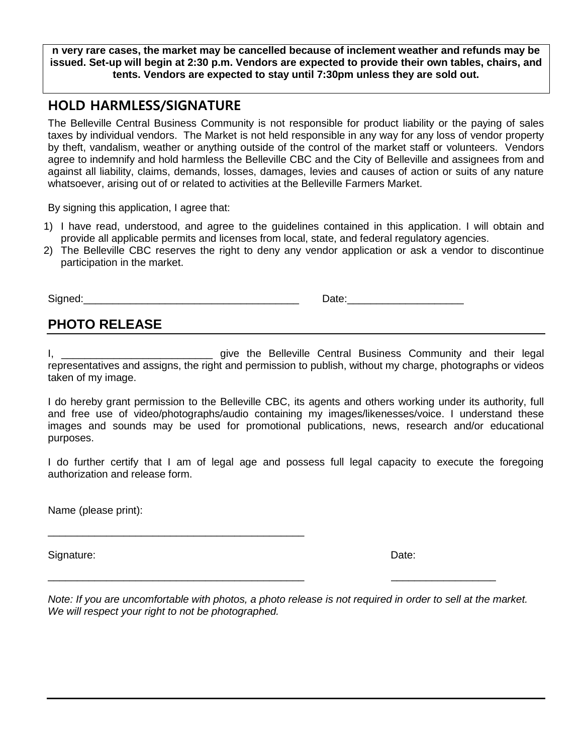**n very rare cases, the market may be cancelled because of inclement weather and refunds may be issued. Set-up will begin at 2:30 p.m. Vendors are expected to provide their own tables, chairs, and tents. Vendors are expected to stay until 7:30pm unless they are sold out.**

### **HOLD HARMLESS/SIGNATURE**

The Belleville Central Business Community is not responsible for product liability or the paying of sales taxes by individual vendors. The Market is not held responsible in any way for any loss of vendor property by theft, vandalism, weather or anything outside of the control of the market staff or volunteers. Vendors agree to indemnify and hold harmless the Belleville CBC and the City of Belleville and assignees from and against all liability, claims, demands, losses, damages, levies and causes of action or suits of any nature whatsoever, arising out of or related to activities at the Belleville Farmers Market.

By signing this application, I agree that:

- 1) I have read, understood, and agree to the guidelines contained in this application. I will obtain and provide all applicable permits and licenses from local, state, and federal regulatory agencies.
- 2) The Belleville CBC reserves the right to deny any vendor application or ask a vendor to discontinue participation in the market.

Signed:<br>
Signed:

# **PHOTO RELEASE**

I, **I** also the Belleville Central Business Community and their legal representatives and assigns, the right and permission to publish, without my charge, photographs or videos taken of my image.

I do hereby grant permission to the Belleville CBC, its agents and others working under its authority, full and free use of video/photographs/audio containing my images/likenesses/voice. I understand these images and sounds may be used for promotional publications, news, research and/or educational purposes.

I do further certify that I am of legal age and possess full legal capacity to execute the foregoing authorization and release form.

Name (please print):

\_\_\_\_\_\_\_\_\_\_\_\_\_\_\_\_\_\_\_\_\_\_\_\_\_\_\_\_\_\_\_\_\_\_\_\_\_\_\_\_\_\_\_\_

Signature: Date: Development of the contract of the contract of the contract of the Date:

*Note: If you are uncomfortable with photos, a photo release is not required in order to sell at the market. We will respect your right to not be photographed.*

\_\_\_\_\_\_\_\_\_\_\_\_\_\_\_\_\_\_\_\_\_\_\_\_\_\_\_\_\_\_\_\_\_\_\_\_\_\_\_\_\_\_\_\_ \_\_\_\_\_\_\_\_\_\_\_\_\_\_\_\_\_\_